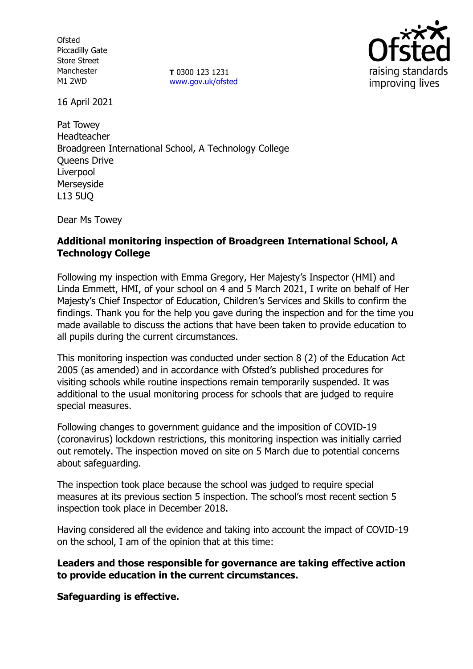**Ofsted** Piccadilly Gate Store Street Manchester M1 2WD

**T** 0300 123 1231 [www.gov.uk/ofsted](http://www.gov.uk/ofsted)



16 April 2021

Pat Towey Headteacher Broadgreen International School, A Technology College Queens Drive Liverpool Merseyside L13 5UQ

Dear Ms Towey

## **Additional monitoring inspection of Broadgreen International School, A Technology College**

Following my inspection with Emma Gregory, Her Majesty's Inspector (HMI) and Linda Emmett, HMI, of your school on 4 and 5 March 2021, I write on behalf of Her Majesty's Chief Inspector of Education, Children's Services and Skills to confirm the findings. Thank you for the help you gave during the inspection and for the time you made available to discuss the actions that have been taken to provide education to all pupils during the current circumstances.

This monitoring inspection was conducted under section 8 (2) of the Education Act 2005 (as amended) and in accordance with Ofsted's published procedures for visiting schools while routine inspections remain temporarily suspended. It was additional to the usual monitoring process for schools that are judged to require special measures.

Following changes to government guidance and the imposition of COVID-19 (coronavirus) lockdown restrictions, this monitoring inspection was initially carried out remotely. The inspection moved on site on 5 March due to potential concerns about safeguarding.

The inspection took place because the school was judged to require special measures at its previous section 5 inspection. The school's most recent section 5 inspection took place in December 2018.

Having considered all the evidence and taking into account the impact of COVID-19 on the school, I am of the opinion that at this time:

## **Leaders and those responsible for governance are taking effective action to provide education in the current circumstances.**

**Safeguarding is effective.**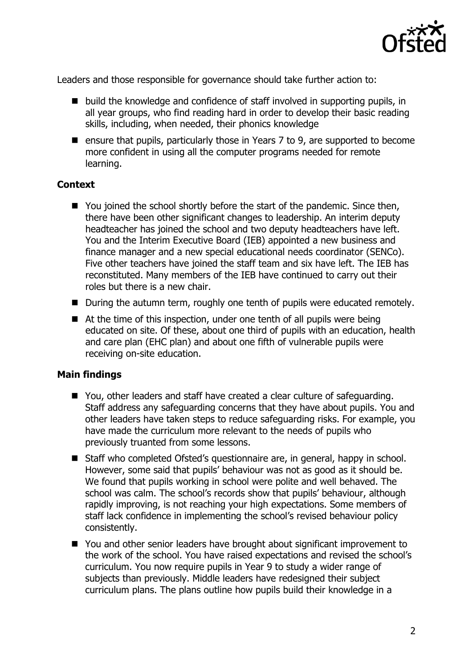

Leaders and those responsible for governance should take further action to:

- $\blacksquare$  build the knowledge and confidence of staff involved in supporting pupils, in all year groups, who find reading hard in order to develop their basic reading skills, including, when needed, their phonics knowledge
- **E** ensure that pupils, particularly those in Years  $\overline{z}$  to 9, are supported to become more confident in using all the computer programs needed for remote learning.

# **Context**

- You joined the school shortly before the start of the pandemic. Since then, there have been other significant changes to leadership. An interim deputy headteacher has joined the school and two deputy headteachers have left. You and the Interim Executive Board (IEB) appointed a new business and finance manager and a new special educational needs coordinator (SENCo). Five other teachers have joined the staff team and six have left. The IEB has reconstituted. Many members of the IEB have continued to carry out their roles but there is a new chair.
- During the autumn term, roughly one tenth of pupils were educated remotely.
- At the time of this inspection, under one tenth of all pupils were being educated on site. Of these, about one third of pupils with an education, health and care plan (EHC plan) and about one fifth of vulnerable pupils were receiving on-site education.

## **Main findings**

- You, other leaders and staff have created a clear culture of safeguarding. Staff address any safeguarding concerns that they have about pupils. You and other leaders have taken steps to reduce safeguarding risks. For example, you have made the curriculum more relevant to the needs of pupils who previously truanted from some lessons.
- Staff who completed Ofsted's questionnaire are, in general, happy in school. However, some said that pupils' behaviour was not as good as it should be. We found that pupils working in school were polite and well behaved. The school was calm. The school's records show that pupils' behaviour, although rapidly improving, is not reaching your high expectations. Some members of staff lack confidence in implementing the school's revised behaviour policy consistently.
- You and other senior leaders have brought about significant improvement to the work of the school. You have raised expectations and revised the school's curriculum. You now require pupils in Year 9 to study a wider range of subjects than previously. Middle leaders have redesigned their subject curriculum plans. The plans outline how pupils build their knowledge in a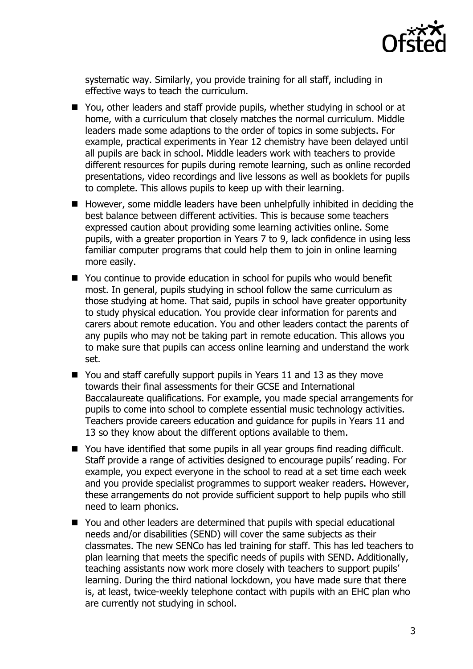

systematic way. Similarly, you provide training for all staff, including in effective ways to teach the curriculum.

- You, other leaders and staff provide pupils, whether studying in school or at home, with a curriculum that closely matches the normal curriculum. Middle leaders made some adaptions to the order of topics in some subjects. For example, practical experiments in Year 12 chemistry have been delayed until all pupils are back in school. Middle leaders work with teachers to provide different resources for pupils during remote learning, such as online recorded presentations, video recordings and live lessons as well as booklets for pupils to complete. This allows pupils to keep up with their learning.
- However, some middle leaders have been unhelpfully inhibited in deciding the best balance between different activities. This is because some teachers expressed caution about providing some learning activities online. Some pupils, with a greater proportion in Years 7 to 9, lack confidence in using less familiar computer programs that could help them to join in online learning more easily.
- You continue to provide education in school for pupils who would benefit most. In general, pupils studying in school follow the same curriculum as those studying at home. That said, pupils in school have greater opportunity to study physical education. You provide clear information for parents and carers about remote education. You and other leaders contact the parents of any pupils who may not be taking part in remote education. This allows you to make sure that pupils can access online learning and understand the work set.
- You and staff carefully support pupils in Years 11 and 13 as they move towards their final assessments for their GCSE and International Baccalaureate qualifications. For example, you made special arrangements for pupils to come into school to complete essential music technology activities. Teachers provide careers education and guidance for pupils in Years 11 and 13 so they know about the different options available to them.
- You have identified that some pupils in all year groups find reading difficult. Staff provide a range of activities designed to encourage pupils' reading. For example, you expect everyone in the school to read at a set time each week and you provide specialist programmes to support weaker readers. However, these arrangements do not provide sufficient support to help pupils who still need to learn phonics.
- You and other leaders are determined that pupils with special educational needs and/or disabilities (SEND) will cover the same subjects as their classmates. The new SENCo has led training for staff. This has led teachers to plan learning that meets the specific needs of pupils with SEND. Additionally, teaching assistants now work more closely with teachers to support pupils' learning. During the third national lockdown, you have made sure that there is, at least, twice-weekly telephone contact with pupils with an EHC plan who are currently not studying in school.